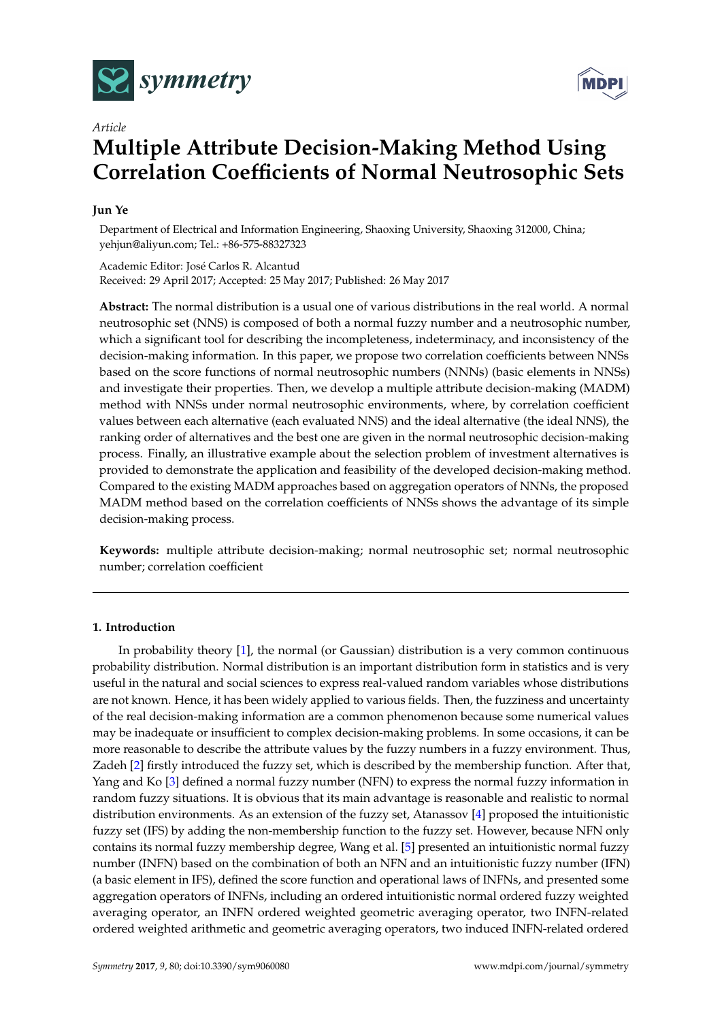



# *Article* **Multiple Attribute Decision-Making Method Using Correlation Coefficients of Normal Neutrosophic Sets**

## **Jun Ye**

Department of Electrical and Information Engineering, Shaoxing University, Shaoxing 312000, China; yehjun@aliyun.com; Tel.: +86-575-88327323

Academic Editor: José Carlos R. Alcantud Received: 29 April 2017; Accepted: 25 May 2017; Published: 26 May 2017

**Abstract:** The normal distribution is a usual one of various distributions in the real world. A normal neutrosophic set (NNS) is composed of both a normal fuzzy number and a neutrosophic number, which a significant tool for describing the incompleteness, indeterminacy, and inconsistency of the decision-making information. In this paper, we propose two correlation coefficients between NNSs based on the score functions of normal neutrosophic numbers (NNNs) (basic elements in NNSs) and investigate their properties. Then, we develop a multiple attribute decision-making (MADM) method with NNSs under normal neutrosophic environments, where, by correlation coefficient values between each alternative (each evaluated NNS) and the ideal alternative (the ideal NNS), the ranking order of alternatives and the best one are given in the normal neutrosophic decision-making process. Finally, an illustrative example about the selection problem of investment alternatives is provided to demonstrate the application and feasibility of the developed decision-making method. Compared to the existing MADM approaches based on aggregation operators of NNNs, the proposed MADM method based on the correlation coefficients of NNSs shows the advantage of its simple decision-making process.

**Keywords:** multiple attribute decision-making; normal neutrosophic set; normal neutrosophic number; correlation coefficient

### **1. Introduction**

In probability theory [\[1\]](#page-8-0), the normal (or Gaussian) distribution is a very common continuous probability distribution. Normal distribution is an important distribution form in statistics and is very useful in the natural and social sciences to express real-valued random variables whose distributions are not known. Hence, it has been widely applied to various fields. Then, the fuzziness and uncertainty of the real decision-making information are a common phenomenon because some numerical values may be inadequate or insufficient to complex decision-making problems. In some occasions, it can be more reasonable to describe the attribute values by the fuzzy numbers in a fuzzy environment. Thus, Zadeh [\[2\]](#page-8-1) firstly introduced the fuzzy set, which is described by the membership function. After that, Yang and Ko [\[3\]](#page-8-2) defined a normal fuzzy number (NFN) to express the normal fuzzy information in random fuzzy situations. It is obvious that its main advantage is reasonable and realistic to normal distribution environments. As an extension of the fuzzy set, Atanassov [\[4\]](#page-8-3) proposed the intuitionistic fuzzy set (IFS) by adding the non-membership function to the fuzzy set. However, because NFN only contains its normal fuzzy membership degree, Wang et al. [\[5\]](#page-9-0) presented an intuitionistic normal fuzzy number (INFN) based on the combination of both an NFN and an intuitionistic fuzzy number (IFN) (a basic element in IFS), defined the score function and operational laws of INFNs, and presented some aggregation operators of INFNs, including an ordered intuitionistic normal ordered fuzzy weighted averaging operator, an INFN ordered weighted geometric averaging operator, two INFN-related ordered weighted arithmetic and geometric averaging operators, two induced INFN-related ordered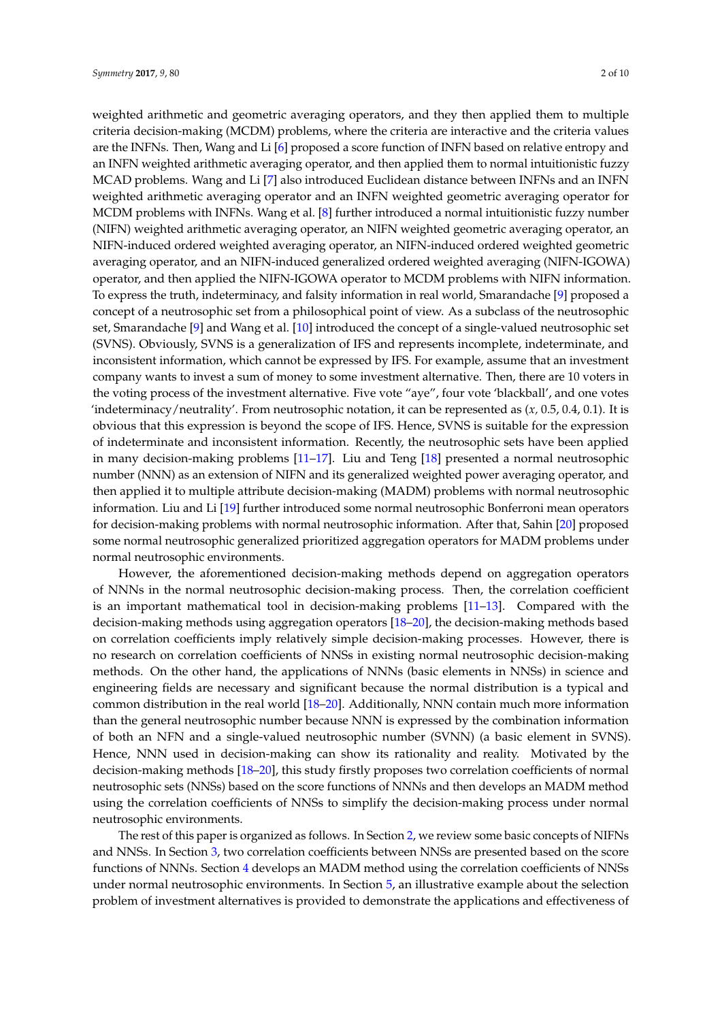weighted arithmetic and geometric averaging operators, and they then applied them to multiple criteria decision-making (MCDM) problems, where the criteria are interactive and the criteria values are the INFNs. Then, Wang and Li [\[6\]](#page-9-1) proposed a score function of INFN based on relative entropy and an INFN weighted arithmetic averaging operator, and then applied them to normal intuitionistic fuzzy MCAD problems. Wang and Li [\[7\]](#page-9-2) also introduced Euclidean distance between INFNs and an INFN weighted arithmetic averaging operator and an INFN weighted geometric averaging operator for MCDM problems with INFNs. Wang et al. [\[8\]](#page-9-3) further introduced a normal intuitionistic fuzzy number (NIFN) weighted arithmetic averaging operator, an NIFN weighted geometric averaging operator, an NIFN-induced ordered weighted averaging operator, an NIFN-induced ordered weighted geometric averaging operator, and an NIFN-induced generalized ordered weighted averaging (NIFN-IGOWA) operator, and then applied the NIFN-IGOWA operator to MCDM problems with NIFN information. To express the truth, indeterminacy, and falsity information in real world, Smarandache [\[9\]](#page-9-4) proposed a concept of a neutrosophic set from a philosophical point of view. As a subclass of the neutrosophic set, Smarandache [\[9\]](#page-9-4) and Wang et al. [\[10\]](#page-9-5) introduced the concept of a single-valued neutrosophic set (SVNS). Obviously, SVNS is a generalization of IFS and represents incomplete, indeterminate, and inconsistent information, which cannot be expressed by IFS. For example, assume that an investment company wants to invest a sum of money to some investment alternative. Then, there are 10 voters in the voting process of the investment alternative. Five vote "aye", four vote 'blackball', and one votes 'indeterminacy/neutrality'. From neutrosophic notation, it can be represented as (*x,* 0.5, 0.4, 0.1). It is obvious that this expression is beyond the scope of IFS. Hence, SVNS is suitable for the expression of indeterminate and inconsistent information. Recently, the neutrosophic sets have been applied in many decision-making problems [\[11–](#page-9-6)[17\]](#page-9-7). Liu and Teng [\[18\]](#page-9-8) presented a normal neutrosophic number (NNN) as an extension of NIFN and its generalized weighted power averaging operator, and then applied it to multiple attribute decision-making (MADM) problems with normal neutrosophic information. Liu and Li [\[19\]](#page-9-9) further introduced some normal neutrosophic Bonferroni mean operators for decision-making problems with normal neutrosophic information. After that, Sahin [\[20\]](#page-9-10) proposed some normal neutrosophic generalized prioritized aggregation operators for MADM problems under normal neutrosophic environments.

However, the aforementioned decision-making methods depend on aggregation operators of NNNs in the normal neutrosophic decision-making process. Then, the correlation coefficient is an important mathematical tool in decision-making problems [\[11–](#page-9-6)[13\]](#page-9-11). Compared with the decision-making methods using aggregation operators [\[18](#page-9-8)[–20\]](#page-9-10), the decision-making methods based on correlation coefficients imply relatively simple decision-making processes. However, there is no research on correlation coefficients of NNSs in existing normal neutrosophic decision-making methods. On the other hand, the applications of NNNs (basic elements in NNSs) in science and engineering fields are necessary and significant because the normal distribution is a typical and common distribution in the real world [\[18–](#page-9-8)[20\]](#page-9-10). Additionally, NNN contain much more information than the general neutrosophic number because NNN is expressed by the combination information of both an NFN and a single-valued neutrosophic number (SVNN) (a basic element in SVNS). Hence, NNN used in decision-making can show its rationality and reality. Motivated by the decision-making methods [\[18–](#page-9-8)[20\]](#page-9-10), this study firstly proposes two correlation coefficients of normal neutrosophic sets (NNSs) based on the score functions of NNNs and then develops an MADM method using the correlation coefficients of NNSs to simplify the decision-making process under normal neutrosophic environments.

The rest of this paper is organized as follows. In Section [2,](#page-2-0) we review some basic concepts of NIFNs and NNSs. In Section [3,](#page-3-0) two correlation coefficients between NNSs are presented based on the score functions of NNNs. Section [4](#page-5-0) develops an MADM method using the correlation coefficients of NNSs under normal neutrosophic environments. In Section [5,](#page-6-0) an illustrative example about the selection problem of investment alternatives is provided to demonstrate the applications and effectiveness of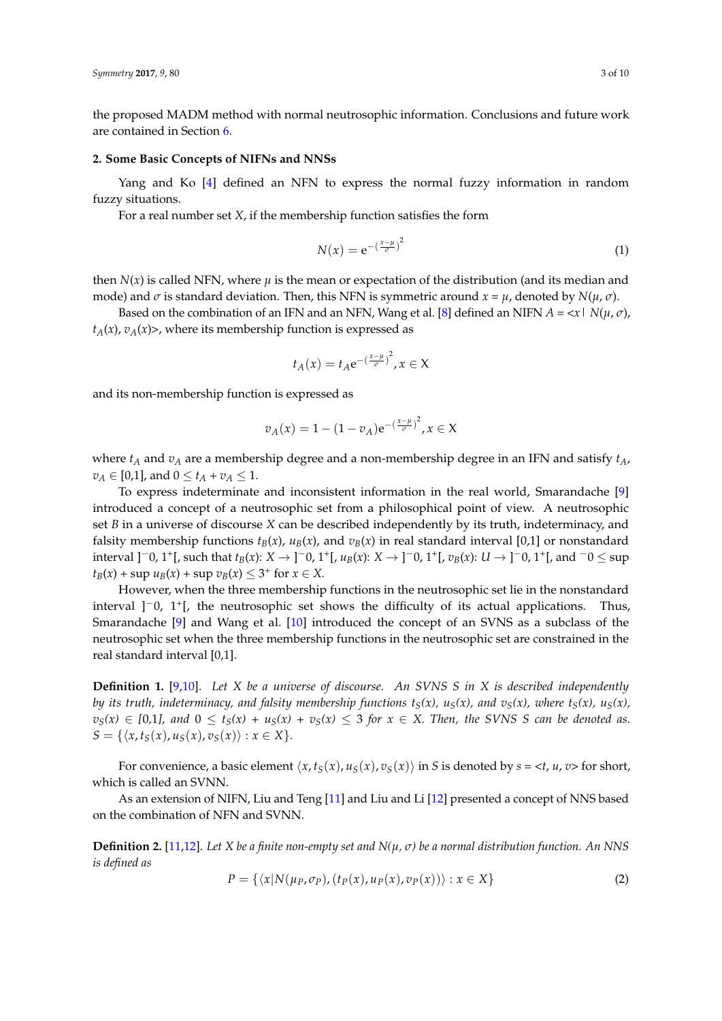the proposed MADM method with normal neutrosophic information. Conclusions and future work are contained in Section [6.](#page-8-4)

#### <span id="page-2-0"></span>**2. Some Basic Concepts of NIFNs and NNSs**

Yang and Ko [\[4\]](#page-8-3) defined an NFN to express the normal fuzzy information in random fuzzy situations.

For a real number set *X*, if the membership function satisfies the form

$$
N(x) = e^{-\left(\frac{x-\mu}{\sigma}\right)^2}
$$
 (1)

then  $N(x)$  is called NFN, where  $\mu$  is the mean or expectation of the distribution (and its median and mode) and  $\sigma$  is standard deviation. Then, this NFN is symmetric around  $x = \mu$ , denoted by  $N(\mu, \sigma)$ .

Based on the combination of an IFN and an NFN, Wang et al. [\[8\]](#page-9-3) defined an NIFN  $A = \langle x | N(\mu, \sigma)$ ,  $t_A(x)$ ,  $v_A(x)$ , where its membership function is expressed as

$$
t_A(x) = t_A e^{-\left(\frac{x-\mu}{\sigma}\right)^2}, x \in X
$$

and its non-membership function is expressed as

$$
v_A(x) = 1 - (1 - v_A) e^{-\left(\frac{x - \mu}{\sigma}\right)^2}, x \in X
$$

where  $t_A$  and  $v_A$  are a membership degree and a non-membership degree in an IFN and satisfy  $t_A$ ,  $v_A \in [0,1]$ , and  $0 \le t_A + v_A \le 1$ .

To express indeterminate and inconsistent information in the real world, Smarandache [\[9\]](#page-9-4) introduced a concept of a neutrosophic set from a philosophical point of view. A neutrosophic set *B* in a universe of discourse *X* can be described independently by its truth, indeterminacy, and falsity membership functions  $t_B(x)$ ,  $u_B(x)$ , and  $v_B(x)$  in real standard interval [0,1] or nonstandard interval ]<sup>−</sup>0, 1<sup>+</sup>[, such that  $t_B(x)$ :  $X \to$ ]<sup>−</sup>0, 1<sup>+</sup>[,  $u_B(x)$ :  $X \to$ ]<sup>−</sup>0, 1<sup>+</sup>[,  $v_B(x)$ :  $U \to$ ]<sup>−</sup>0, 1<sup>+</sup>[, and <sup>−</sup>0 ≤ sup  $t_B(x) + \sup u_B(x) + \sup v_B(x) \leq 3^+ \text{ for } x \in X.$ 

However, when the three membership functions in the neutrosophic set lie in the nonstandard interval ]−0, 1<sup>+</sup> [, the neutrosophic set shows the difficulty of its actual applications. Thus, Smarandache [\[9\]](#page-9-4) and Wang et al. [\[10\]](#page-9-5) introduced the concept of an SVNS as a subclass of the neutrosophic set when the three membership functions in the neutrosophic set are constrained in the real standard interval [0,1].

**Definition 1.** [\[9](#page-9-4)[,10\]](#page-9-5). *Let X be a universe of discourse. An SVNS S in X is described independently by its truth, indeterminacy, and falsity membership functions*  $t_S(x)$ *,*  $u_S(x)$ *, and*  $v_S(x)$ *, where*  $t_S(x)$ *,*  $u_S(x)$ *,*  $v_S(x) \in [0,1]$ , and  $0 \le t_S(x) + u_S(x) + v_S(x) \le 3$  for  $x \in X$ . Then, the SVNS S can be denoted as.  $S = \{ \langle x, t_S(x), u_S(x), v_S(x) \rangle : x \in X \}.$ 

For convenience, a basic element  $\langle x, t_S(x), u_S(x), v_S(x) \rangle$  in *S* is denoted by  $s = \langle t, u, v \rangle$  for short, which is called an SVNN.

As an extension of NIFN, Liu and Teng [\[11\]](#page-9-6) and Liu and Li [\[12\]](#page-9-12) presented a concept of NNS based on the combination of NFN and SVNN.

**Definition 2.** [\[11,](#page-9-6)[12\]](#page-9-12). *Let X be a finite non-empty set and N(µ, σ) be a normal distribution function. An NNS is defined as*

$$
P = \{ \langle x | N(\mu_P, \sigma_P), (t_P(x), \mu_P(x), v_P(x)) \rangle : x \in X \}
$$
 (2)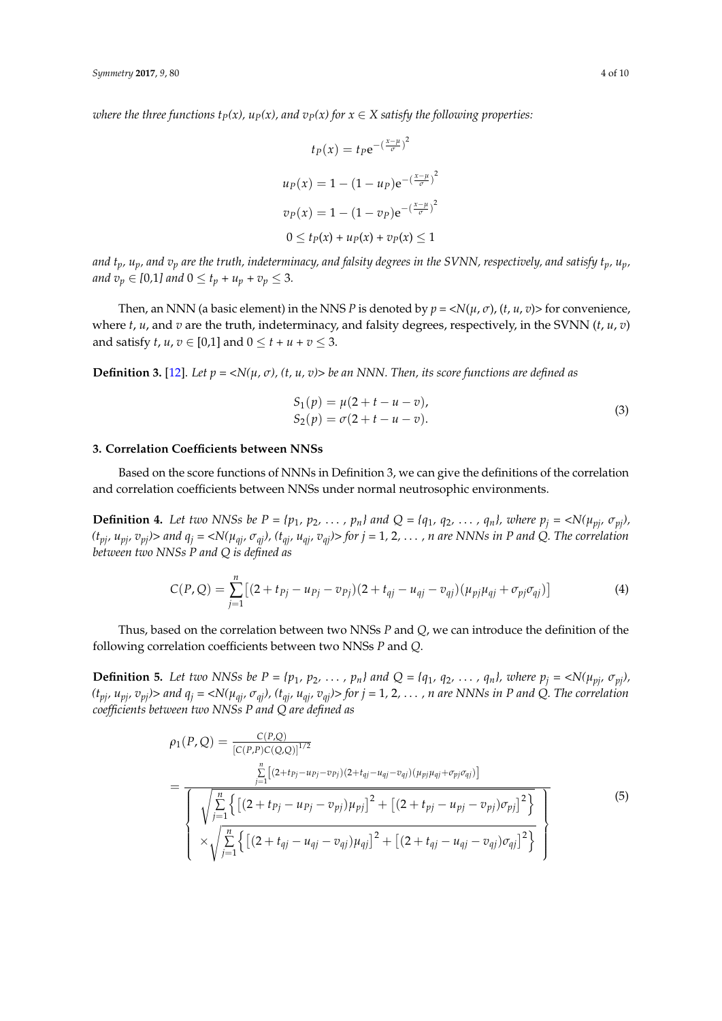*where the three functions*  $t_P(x)$ *,*  $u_P(x)$ *, and*  $v_P(x)$  *for*  $x \in X$  *satisfy the following properties:* 

$$
t_P(x) = t_P e^{-\left(\frac{x-\mu}{\sigma}\right)^2}
$$

$$
u_P(x) = 1 - (1 - u_P) e^{-\left(\frac{x-\mu}{\sigma}\right)^2}
$$

$$
v_P(x) = 1 - (1 - v_P) e^{-\left(\frac{x-\mu}{\sigma}\right)^2}
$$

$$
0 \le t_P(x) + u_P(x) + v_P(x) \le 1
$$

*and*  $t_p$ ,  $u_p$ , and  $v_p$  are the truth, indeterminacy, and falsity degrees in the SVNN, respectively, and satisfy  $t_p$ ,  $u_p$ , *and*  $v_p \in [0,1]$  and  $0 \le t_p + u_p + v_p \le 3$ .

Then, an NNN (a basic element) in the NNS *P* is denoted by  $p = \langle N(\mu, \sigma), (t, u, v) \rangle$  for convenience, where  $t$ ,  $u$ , and  $v$  are the truth, indeterminacy, and falsity degrees, respectively, in the SVNN  $(t, u, v)$ and satisfy *t*, *u*,  $v \in [0,1]$  and  $0 \le t + u + v \le 3$ .

**Definition 3.** [\[12\]](#page-9-12). *Let*  $p = \langle N(\mu, \sigma), (t, u, v) \rangle$  *be an NNN. Then, its score functions are defined as* 

$$
S_1(p) = \mu(2 + t - u - v),
$$
  
\n
$$
S_2(p) = \sigma(2 + t - u - v).
$$
\n(3)

#### <span id="page-3-0"></span>**3. Correlation Coefficients between NNSs**

Based on the score functions of NNNs in Definition 3, we can give the definitions of the correlation and correlation coefficients between NNSs under normal neutrosophic environments.

**Definition 4.** Let two NNSs be  $P = \{p_1, p_2, \ldots, p_n\}$  and  $Q = \{q_1, q_2, \ldots, q_n\}$ , where  $p_j = \langle N(\mu_{pj}, \sigma_{pj}),$  $(t_{pi}, u_{pi}, v_{pi})$  and  $q_i = \langle N(\mu_{qi}, \sigma_{qi})$ ,  $(t_{qi}, u_{qi}, v_{qi})$  for  $j = 1, 2, ..., n$  are NNNs in P and Q. The correlation *between two NNSs P and Q is defined as*

$$
C(P,Q) = \sum_{j=1}^{n} \left[ (2 + t_{Pj} - u_{Pj} - v_{Pj})(2 + t_{qj} - u_{qj} - v_{qj})(\mu_{pj}\mu_{qj} + \sigma_{pj}\sigma_{qj}) \right]
$$
(4)

Thus, based on the correlation between two NNSs *P* and *Q*, we can introduce the definition of the following correlation coefficients between two NNSs *P* and *Q*.

**Definition 5.** Let two NNSs be  $P = \{p_1, p_2, \ldots, p_n\}$  and  $Q = \{q_1, q_2, \ldots, q_n\}$ , where  $p_i = \langle N(\mu_{pi}, \sigma_{pi}),$  $(t_{pj}, u_{pj}, v_{pj})$  and  $q_j = \langle N(\mu_{qi}, \sigma_{qi}), (t_{qi}, u_{qi}, v_{qi}) \rangle$  for  $j = 1, 2, ..., n$  are NNNs in P and Q. The correlation *coefficients between two NNSs P and Q are defined as*

$$
\rho_1(P,Q) = \frac{C(P,Q)}{[C(P,P)C(Q,Q)]^{1/2}}
$$
\n
$$
= \frac{\sum_{j=1}^n \left[ (2+tp_j-u_{pj}-v_{pj})(2+t_{qj}-u_{qj}-v_{qj})(\mu_{pj}\mu_{qj}+\sigma_{pj}\sigma_{qj}) \right]}{\sqrt{\sum_{j=1}^n \left\{ \left[ (2+tp_j-u_{pj}-v_{pj})\mu_{pj} \right]^2 + \left[ (2+t_{pj}-u_{pj}-v_{pj})\sigma_{pj} \right]^2 \right\}}}
$$
\n
$$
\times \sqrt{\sum_{j=1}^n \left\{ \left[ (2+t_{qj}-u_{qj}-v_{qj})\mu_{qj} \right]^2 + \left[ (2+t_{qj}-u_{qj}-v_{qj})\sigma_{qj} \right]^2 \right\}}
$$
\n(5)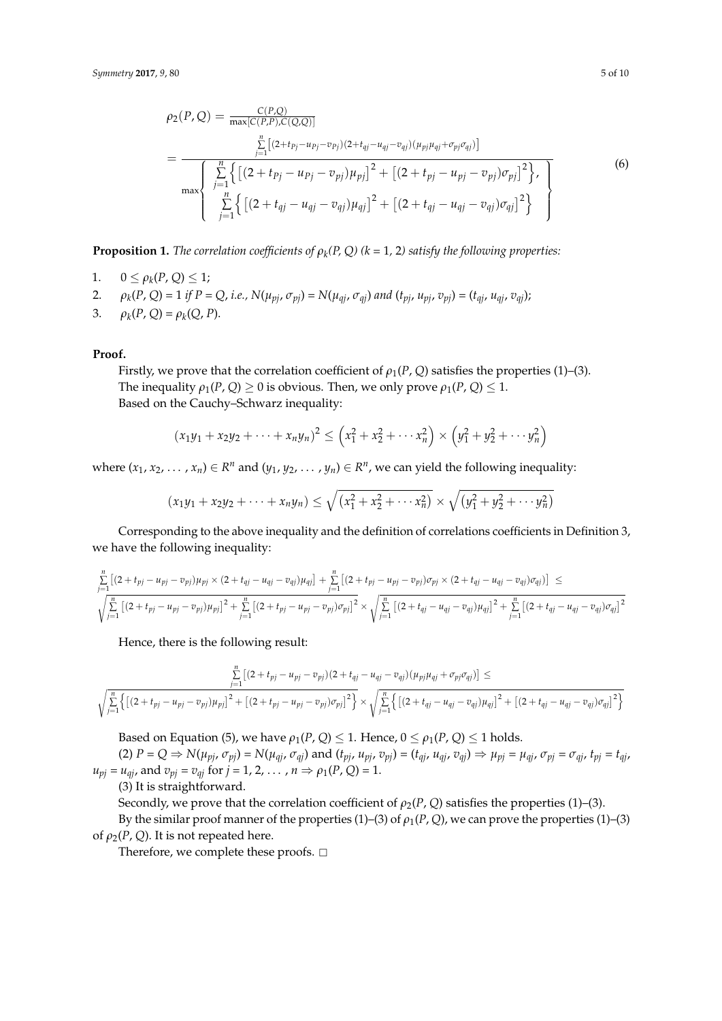$$
\rho_2(P,Q) = \frac{C(P,Q)}{\max[C(P,P),C(Q,Q)]}
$$
\n
$$
= \frac{\sum_{j=1}^{n} \left[ (2+t_{pj}-u_{pj}-v_{pj})(2+t_{qj}-u_{qj}-(\mu_{pj}\mu_{qj}+\sigma_{pj}\sigma_{qj})) \right]}{\max\left\{ \sum_{j=1}^{n} \left\{ \left[ (2+t_{pj}-u_{pj}-v_{pj})\mu_{pj} \right]^{2} + \left[ (2+t_{pj}-u_{pj}-v_{pj})\sigma_{pj} \right]^{2} \right\}, \left[ \sum_{j=1}^{n} \left\{ \left[ (2+t_{qj}-u_{qj}-v_{qj})\mu_{qj} \right]^{2} + \left[ (2+t_{qj}-u_{qj}-v_{qj})\sigma_{qj} \right]^{2} \right\} \right\}}
$$
\n(6)

**Proposition 1.** The correlation coefficients of  $\rho_k(P,Q)$  (k = 1, 2) satisfy the following properties:

- 1.  $0 \le \rho_k(P, Q) \le 1;$
- 2.  $\rho_k(P, Q) = 1$  if  $P = Q$ , i.e.,  $N(\mu_{pj}, \sigma_{pj}) = N(\mu_{qj}, \sigma_{qj})$  and  $(t_{pj}, u_{pj}, v_{pj}) = (t_{qj}, u_{qj}, v_{qj})$ ;
- 3.  $\rho_k(P, Q) = \rho_k(Q, P).$

#### **Proof.**

Firstly, we prove that the correlation coefficient of  $\rho_1(P, Q)$  satisfies the properties (1)–(3). The inequality  $\rho_1(P, Q) \geq 0$  is obvious. Then, we only prove  $\rho_1(P, Q) \leq 1$ . Based on the Cauchy–Schwarz inequality:

$$
(x_1y_1 + x_2y_2 + \dots + x_ny_n)^2 \le (x_1^2 + x_2^2 + \dots + x_n^2) \times (y_1^2 + y_2^2 + \dots + y_n^2)
$$

where  $(x_1, x_2, \ldots, x_n) \in R^n$  and  $(y_1, y_2, \ldots, y_n) \in R^n$ , we can yield the following inequality:

$$
(x_1y_1 + x_2y_2 + \cdots + x_ny_n) \leq \sqrt{(x_1^2 + x_2^2 + \cdots + x_n^2)} \times \sqrt{(y_1^2 + y_2^2 + \cdots + y_n^2)}
$$

Corresponding to the above inequality and the definition of correlations coefficients in Definition 3, we have the following inequality:

$$
\sum_{j=1}^{n} \left[ (2+t_{pj}-u_{pj}-v_{pj})\mu_{pj} \times (2+t_{qj}-u_{qj}-v_{qj})\mu_{qj} \right] + \sum_{j=1}^{n} \left[ (2+t_{pj}-u_{pj}-v_{pj})\sigma_{pj} \times (2+t_{qj}-u_{qj}-v_{qj})\sigma_{qj} \right] \leq
$$
\n
$$
\sqrt{\sum_{j=1}^{n} \left[ (2+t_{pj}-u_{pj}-v_{pj})\mu_{pj} \right]^2 + \sum_{j=1}^{n} \left[ (2+t_{pj}-u_{pj}-v_{pj})\sigma_{pj} \right]^2} \times \sqrt{\sum_{j=1}^{n} \left[ (2+t_{qj}-u_{qj}-v_{qj})\mu_{qj} \right]^2 + \sum_{j=1}^{n} \left[ (2+t_{qj}-u_{qj}-v_{qj})\sigma_{qj} \right]^2}
$$

Hence, there is the following result:

$$
\sum_{j=1}^{n} \left[ (2+t_{pj}-u_{pj}-v_{pj})(2+t_{qj}-u_{qj}-v_{qj})(\mu_{pj}\mu_{qj}+\sigma_{pj}\sigma_{qj}) \right] \le
$$
  

$$
\sqrt{\sum_{j=1}^{n} \left\{ \left[ (2+t_{pj}-u_{pj}-v_{pj})\mu_{pj} \right]^2 + \left[ (2+t_{pj}-u_{pj}-v_{pj})\sigma_{pj} \right]^2 \right\}} \times \sqrt{\sum_{j=1}^{n} \left\{ \left[ (2+t_{qj}-u_{qj}-v_{qj})\mu_{qj} \right]^2 + \left[ (2+t_{qj}-u_{qj}-v_{qj})\sigma_{qj} \right]^2 \right\}}
$$

Based on Equation (5), we have  $\rho_1(P, Q) \leq 1$ . Hence,  $0 \leq \rho_1(P, Q) \leq 1$  holds.

(2)  $P = Q \Rightarrow N(\mu_{pj}, \sigma_{pj}) = N(\mu_{qj}, \sigma_{qj})$  and  $(t_{pj}, \mu_{pj}, v_{pj}) = (t_{qj}, \mu_{qj}, v_{qj}) \Rightarrow \mu_{pj} = \mu_{qj}, \sigma_{pj} = \sigma_{qj}, t_{pj} = t_{qj}$  $u_{pj} = u_{qj}$ , and  $v_{pj} = v_{qj}$  for  $j = 1, 2, ..., n \Rightarrow \rho_1(P, Q) = 1$ .

(3) It is straightforward.

Secondly, we prove that the correlation coefficient of  $\rho_2(P, Q)$  satisfies the properties (1)–(3). By the similar proof manner of the properties (1)–(3) of  $\rho_1(P, Q)$ , we can prove the properties (1)–(3) of  $\rho_2(P, Q)$ . It is not repeated here.

Therefore, we complete these proofs.  $\square$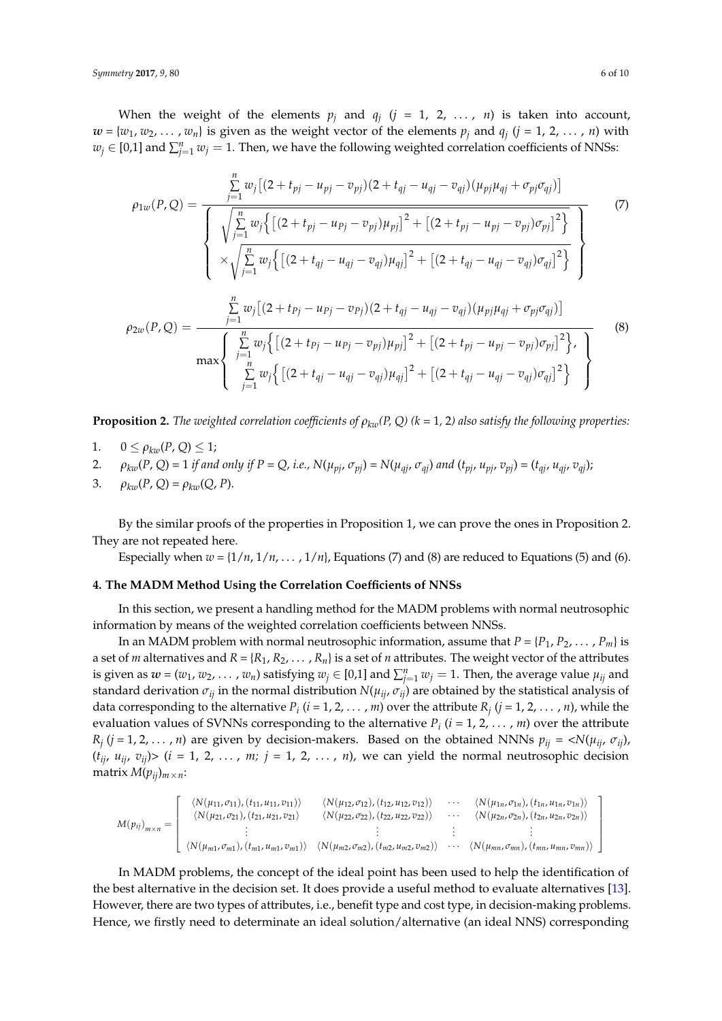When the weight of the elements  $p_j$  and  $q_j$   $(j = 1, 2, ..., n)$  is taken into account,  $w = \{w_1, w_2, \ldots, w_n\}$  is given as the weight vector of the elements  $p_j$  and  $q_j$   $(j = 1, 2, \ldots, n)$  with  $w_j \in [0,1]$  and  $\sum_{j=1}^n w_j = 1$ . Then, we have the following weighted correlation coefficients of NNSs:

$$
\rho_{1w}(P,Q) = \frac{\sum_{j=1}^{n} w_j [(2+t_{pj}-u_{pj}-v_{pj})(2+t_{qj}-u_{qj}-v_{qj})(\mu_{pj}\mu_{qj}+\sigma_{pj}\sigma_{qj})]}{\sqrt{\sum_{j=1}^{n} w_j \{[(2+t_{pj}-u_{pj}-v_{pj})\mu_{pj}]^2 + [(2+t_{pj}-u_{pj}-v_{pj})\sigma_{pj}]^2\}} \times \sqrt{\sum_{j=1}^{n} w_j \{[(2+t_{qj}-u_{qj}-v_{qj})\mu_{qj}]^2 + [(2+t_{qj}-u_{qj}-v_{qj})\sigma_{qj}]^2\}} \times \frac{\sum_{j=1}^{n} w_j [(2+t_{pj}-u_{pj}-v_{pj})(2+t_{qj}-u_{qj}-v_{qj})(\mu_{pj}\mu_{qj}+\sigma_{pj}\sigma_{qj})]}{\sum_{j=1}^{n} w_j \{[(2+t_{pj}-u_{pj}-v_{pj})\mu_{pj}]^2 + [(2+t_{pj}-u_{pj}-v_{pj})\sigma_{pj}]^2\}} \times \frac{\left(\sum_{j=1}^{n} w_j \{[(2+t_{pj}-u_{pj}-v_{qj})\mu_{qj}]^2 + [(2+t_{qj}-u_{qj}-v_{qj})\sigma_{qj}]^2\}}{\sum_{j=1}^{n} w_j \{[(2+t_{qj}-u_{qj}-v_{qj})\mu_{qj}]^2 + [(2+t_{qj}-u_{qj}-v_{qj})\sigma_{qj}]^2\}}\right) \tag{8}
$$

**Proposition 2.** *The weighted correlation coefficients of*  $\rho_{kw}(P, Q)$  ( $k = 1, 2$ ) also satisfy the following properties:

- 1.  $0 \leq \rho_{kw}(P, Q) \leq 1;$
- 2.  $\rho_{kw}(P,Q) = 1$  if and only if  $P = Q$ , i.e.,  $N(\mu_{pi}, \sigma_{pi}) = N(\mu_{air}, \sigma_{ai})$  and  $(t_{pi}, u_{pi}, v_{pi}) = (t_{air}, u_{air}, v_{air})$ ;
- 3.  $\rho_{kw}(P, Q) = \rho_{kw}(Q, P).$

By the similar proofs of the properties in Proposition 1, we can prove the ones in Proposition 2. They are not repeated here.

Especially when  $w = \{1/n, 1/n, \ldots, 1/n\}$ , Equations (7) and (8) are reduced to Equations (5) and (6).

#### <span id="page-5-0"></span>**4. The MADM Method Using the Correlation Coefficients of NNSs**

In this section, we present a handling method for the MADM problems with normal neutrosophic information by means of the weighted correlation coefficients between NNSs.

In an MADM problem with normal neutrosophic information, assume that  $P = \{P_1, P_2, \dots, P_m\}$  is a set of *m* alternatives and  $R = \{R_1, R_2, \dots, R_n\}$  is a set of *n* attributes. The weight vector of the attributes is given as  $w = (w_1, w_2, \ldots, w_n)$  satisfying  $w_j \in [0,1]$  and  $\sum_{j=1}^n w_j = 1$ . Then, the average value  $\mu_{ij}$  and standard derivation  $\sigma_{ij}$  in the normal distribution  $N(\mu_{ij}, \sigma_{ij})$  are obtained by the statistical analysis of data corresponding to the alternative  $P_i$  ( $i = 1, 2, ..., m$ ) over the attribute  $R_j$  ( $j = 1, 2, ..., n$ ), while the evaluation values of SVNNs corresponding to the alternative  $P_i$  ( $i = 1, 2, ..., m$ ) over the attribute  $R_j$  (*j* = 1, 2, . . . , *n*) are given by decision-makers. Based on the obtained NNNs  $p_{ij}$  = < $N(\mu_{ij}, \sigma_{ij})$ ,  $(t_{ij}, u_{ij}, v_{ij})$   $(i = 1, 2, ..., m; j = 1, 2, ..., n)$ , we can yield the normal neutrosophic decision matrix  $M(p_{ij})_{m \times n}$ :

$$
M(p_{ij})_{m \times n} = \begin{bmatrix} \langle N(\mu_{11}, \sigma_{11}), (t_{11}, \mu_{11}, \sigma_{11}) \rangle & \langle N(\mu_{12}, \sigma_{12}), (t_{12}, \mu_{12}, \sigma_{12}) \rangle & \cdots & \langle N(\mu_{1n}, \sigma_{1n}), (t_{1n}, \mu_{1n}, \sigma_{1n}) \rangle \\ \langle N(\mu_{21}, \sigma_{21}), (t_{21}, \mu_{21}, \sigma_{21}) & \langle N(\mu_{22}, \sigma_{22}), (t_{22}, \mu_{22}, \sigma_{22}) \rangle & \cdots & \langle N(\mu_{2n}, \sigma_{2n}), (t_{2n}, \mu_{2n}, \sigma_{2n}) \rangle \\ \vdots & \vdots & \vdots & \vdots \\ \langle N(\mu_{m1}, \sigma_{m1}), (t_{m1}, \mu_{m1}, \sigma_{m1}) \rangle & \langle N(\mu_{m2}, \sigma_{m2}), (t_{m2}, \mu_{m2}, \sigma_{m2}) \rangle & \cdots & \langle N(\mu_{mn}, \sigma_{mn}), (t_{mn}, \mu_{mn}, \sigma_{mn}) \rangle \end{bmatrix}
$$

In MADM problems, the concept of the ideal point has been used to help the identification of the best alternative in the decision set. It does provide a useful method to evaluate alternatives [\[13\]](#page-9-11). However, there are two types of attributes, i.e., benefit type and cost type, in decision-making problems. Hence, we firstly need to determinate an ideal solution/alternative (an ideal NNS) corresponding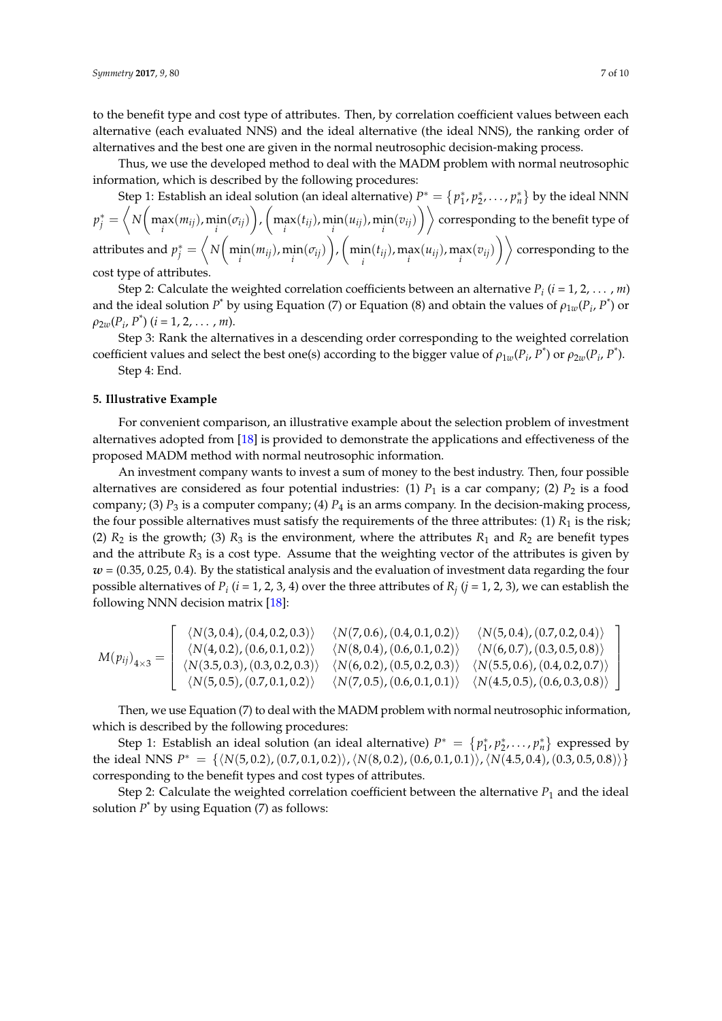to the benefit type and cost type of attributes. Then, by correlation coefficient values between each alternative (each evaluated NNS) and the ideal alternative (the ideal NNS), the ranking order of alternatives and the best one are given in the normal neutrosophic decision-making process.

Thus, we use the developed method to deal with the MADM problem with normal neutrosophic information, which is described by the following procedures:

Step 1: Establish an ideal solution (an ideal alternative)  $P^* = \{p_1^*, p_2^*, \ldots, p_n^*\}$  by the ideal NNN  $p_j^* = \left\langle N\bigg(\max_i(m_{ij}),\min_i(\sigma_{ij})\bigg), \bigg(\max_i(t_{ij}),\min_i(u_{ij}),\min_i(v_{ij})\bigg)\right\rangle$  corresponding to the benefit type of attributes and  $p_j^* = \left\langle N \bigg( \min_i (m_{ij}), \min_i (\sigma_{ij}) \bigg), \bigg( \min_i (\sigma_{ij}), \min_i (\sigma_{ij}) \bigg) \right\rangle$  $\left\langle \inf_i (t_{ij}), \max_i (u_{ij}), \max_i (v_{ij}) \right\rangle \right\rangle$  corresponding to the cost type of attributes.

Step 2: Calculate the weighted correlation coefficients between an alternative *P<sup>i</sup>* (*i* = 1, 2, . . . , *m*) and the ideal solution  $P^*$  by using Equation (7) or Equation (8) and obtain the values of  $\rho_{1w}(P_i, P^*)$  or  $\rho_{2w}(P_i, P^*)$  (*i* = 1, 2, . . . , *m*).

Step 3: Rank the alternatives in a descending order corresponding to the weighted correlation coefficient values and select the best one(s) according to the bigger value of  $\rho_{1w}(P_i, P^*)$  or  $\rho_{2w}(P_i, P^*)$ .

Step 4: End.

#### <span id="page-6-0"></span>**5. Illustrative Example**

For convenient comparison, an illustrative example about the selection problem of investment alternatives adopted from [\[18\]](#page-9-8) is provided to demonstrate the applications and effectiveness of the proposed MADM method with normal neutrosophic information.

An investment company wants to invest a sum of money to the best industry. Then, four possible alternatives are considered as four potential industries: (1)  $P_1$  is a car company; (2)  $P_2$  is a food company; (3)  $P_3$  is a computer company; (4)  $P_4$  is an arms company. In the decision-making process, the four possible alternatives must satisfy the requirements of the three attributes: (1)  $R_1$  is the risk; (2)  $R_2$  is the growth; (3)  $R_3$  is the environment, where the attributes  $R_1$  and  $R_2$  are benefit types and the attribute  $R_3$  is a cost type. Assume that the weighting vector of the attributes is given by *w* = (0.35, 0.25, 0.4). By the statistical analysis and the evaluation of investment data regarding the four possible alternatives of  $P_i$  ( $i$  = 1, 2, 3, 4) over the three attributes of  $R_j$  ( $j$  = 1, 2, 3), we can establish the following NNN decision matrix [\[18\]](#page-9-8):

$$
M(p_{ij})_{4\times 3} = \left[\begin{array}{ccc} \langle N(3,0.4), (0.4, 0.2, 0.3) \rangle & \langle N(7,0.6), (0.4, 0.1, 0.2) \rangle & \langle N(5,0.4), (0.7, 0.2, 0.4) \rangle \\ \langle N(4,0.2), (0.6, 0.1, 0.2) \rangle & \langle N(8,0.4), (0.6, 0.1, 0.2) \rangle & \langle N(6,0.7), (0.3, 0.5, 0.8) \rangle \\ \langle N(3.5, 0.3), (0.3, 0.2, 0.3) \rangle & \langle N(6,0.2), (0.5, 0.2, 0.3) \rangle & \langle N(5.5, 0.6), (0.4, 0.2, 0.7) \rangle \\ \langle N(5,0.5), (0.7, 0.1, 0.2) \rangle & \langle N(7,0.5), (0.6, 0.1, 0.1) \rangle & \langle N(4.5, 0.5), (0.6, 0.3, 0.8) \rangle \end{array}\right]
$$

Then, we use Equation (7) to deal with the MADM problem with normal neutrosophic information, which is described by the following procedures:

Step 1: Establish an ideal solution (an ideal alternative)  $P^* = \{p_1^*, p_2^*, \ldots, p_n^*\}$  expressed by the ideal NNS  $P^* = \{ \langle N(5, 0.2), (0.7, 0.1, 0.2), \langle N(8, 0.2), (0.6, 0.1, 0.1)\rangle, \langle N(4.5, 0.4), (0.3, 0.5, 0.8)\rangle \}$ corresponding to the benefit types and cost types of attributes.

Step 2: Calculate the weighted correlation coefficient between the alternative  $P_1$  and the ideal solution  $P^*$  by using Equation (7) as follows: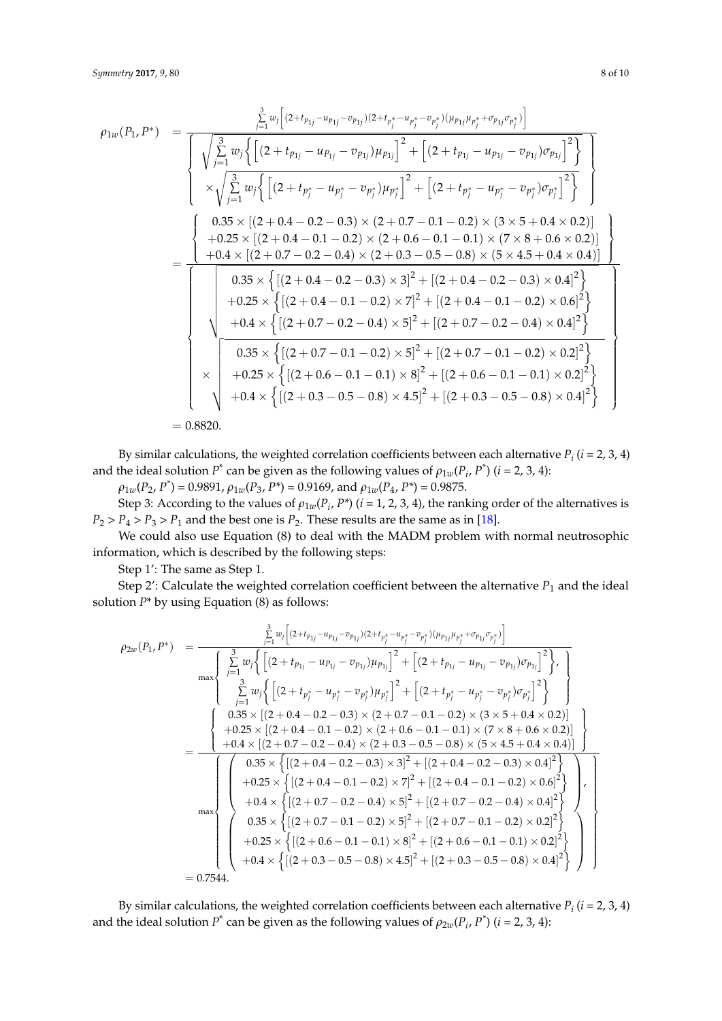$$
\rho_{1w}(P_1, P^*) = \frac{\sum_{j=1}^{3} w_j \Big[ (2 + t_{p_{1j}} - u_{p_{1j}} - v_{p_{1j}})(2 + t_{p_j^*} - u_{p_j^*} - v_{p_j^*})(\mu_{p_{1j}}\mu_{p_j^*} + v_{p_{1j}} - v_{p_{1j}})\sigma_{p_{1j}} \Big]^2}{\sqrt{\sum_{j=1}^{3} w_j \Big\{ \Big[ (2 + t_{p_{1j}} - u_{p_{1j}} - v_{p_{1j}})\mu_{p_{1j}} \Big]^2 + \Big[ (2 + t_{p_{1j}} - u_{p_{1j}} - v_{p_{1j}})\sigma_{p_{1j}} \Big]^2 \Big\}} \Bigg]}\n= \n\begin{cases}\n0.35 \times \left[ (2 + 0.4 - 0.2 - 0.3) \times (2 + 0.7 - 0.1 - 0.2) \times (3 \times 5 + 0.4 \times 0.2) \right] \\
+ 0.25 \times \left[ (2 + 0.4 - 0.1 - 0.2) \times (2 + 0.6 - 0.1 - 0.1) \times (7 \times 8 + 0.6 \times 0.2) \right] \\
+ 0.4 \times \left[ (2 + 0.7 - 0.2 - 0.4) \times (2 + 0.3 - 0.5 - 0.8) \times (5 \times 4.5 + 0.4 \times 0.4) \right] \\
+ 0.25 \times \left\{ \left[ (2 + 0.4 - 0.1 - 0.2) \times 7 \right]^2 + \left[ (2 + 0.4 - 0.2 - 0.3) \times 0.4 \right]^2 \right\} \\
+ 0.4 \times \left\{ \left[ (2 + 0.4 - 0.1 - 0.2) \times 7 \right]^2 + \left[ (2 + 0.4 - 0.1 - 0.2) \times 0.6 \right]^2 \right\} \\
+ 0.4 \times \left\{ \left[ (2 + 0.7 - 0.2 - 0.4) \times 5 \right]^2 + \left[ (2 + 0.7 - 0.1 - 0.2) \times 0.2 \right]^2 \right\} \\
+ 0.35 \times \left\{ \left[ (2 + 0.7 - 0.1 - 0.1) \times 8 \right]^2 + \left[ (2 + 0.7 - 0.1 - 0.1
$$

By similar calculations, the weighted correlation coefficients between each alternative  $P_i$  ( $i = 2, 3, 4$ ) and the ideal solution  $P^*$  can be given as the following values of  $\rho_{1w}(P_i, P^*)$  (*i* = 2, 3, 4):

 $\rho_{1w}(P_2, P^*) = 0.9891$ ,  $\rho_{1w}(P_3, P^*) = 0.9169$ , and  $\rho_{1w}(P_4, P^*) = 0.9875$ . Step 3: According to the values of  $\rho_{1w}(P_i, P^*)$  ( $i = 1, 2, 3, 4$ ), the ranking order of the alternatives is  $P_2 > P_4 > P_3 > P_1$  and the best one is  $P_2$ . These results are the same as in [\[18\]](#page-9-8).

We could also use Equation (8) to deal with the MADM problem with normal neutrosophic information, which is described by the following steps:

Step 1': The same as Step 1.

Step 2': Calculate the weighted correlation coefficient between the alternative  $P_1$  and the ideal solution *P*\* by using Equation (8) as follows:

$$
\rho_{2w}(P_1, P^*) = \frac{\sum_{j=1}^{3} w_j \left[ (2 + t_{p_{1j}} - u_{p_{1j}} - v_{p_{1j}})(2 + t_{p_j^*} - u_{p_j^*} - v_{p_j^*})(\mu_{p_{1j}}\mu_{p_j^*} + \sigma_{p_{1j}}\sigma_{p_j^*}) \right]}{\max \left\{ \sum_{j=1}^{3} w_j \left\{ \left[ (2 + t_{p_{1j}} - u_{p_{1j}} - v_{p_{1j}}) \mu_{p_{1j}} \right]^2 + \left[ (2 + t_{p_{1j}} - u_{p_{1j}} - v_{p_{1j}}) \sigma_{p_{1j}} \right]^2 \right\}, \right\}}
$$
\n
$$
= \frac{\left\{ \begin{array}{l} 0.35 \times \left[ (2 + 0.4 - 0.2 - 0.3) \times (2 + 0.7 - 0.1 - 0.2) \times (3 \times 5 + 0.4 \times 0.2) \right] \\ 0.35 \times \left[ (2 + 0.4 - 0.1 - 0.2) \times (2 + 0.6 - 0.1 - 0.1) \times (7 \times 8 + 0.6 \times 0.2) \right] \\ + 0.25 \times \left[ (2 + 0.4 - 0.1 - 0.2) \times (2 + 0.6 - 0.1 - 0.1) \times (7 \times 8 + 0.6 \times 0.2) \right] \\ + 0.4 \times \left[ (2 + 0.7 - 0.2 - 0.4) \times (2 + 0.3 - 0.5 - 0.8) \times (5 \times 4.5 + 0.4 \times 0.4) \right] \\ + 0.25 \times \left\{ \left[ (2 + 0.4 - 0.1 - 0.2) \times 7 \right]^2 + \left[ (2 + 0.4 - 0.1 - 0.2) \times 0.6 \right]^2 \right\} \\ + 0.4 \times \left\{ \left[ (2 + 0.7 - 0.2 - 0.4) \times 5 \right]^2 + \left[ (2 + 0.7 - 0.2 - 0.4) \times 0.4 \right]^2 \right\} \\ + 0.25 \times \left\{ \left[ (2 + 0.7 - 0.1 - 0.2) \times 5 \right]^2 + \left[ (2 + 0.7 - 0.1
$$

By similar calculations, the weighted correlation coefficients between each alternative  $P_i$   $(i = 2, 3, 4)$ and the ideal solution  $P^*$  can be given as the following values of  $\rho_{2w}(P_i, P^*)$  (*i* = 2, 3, 4):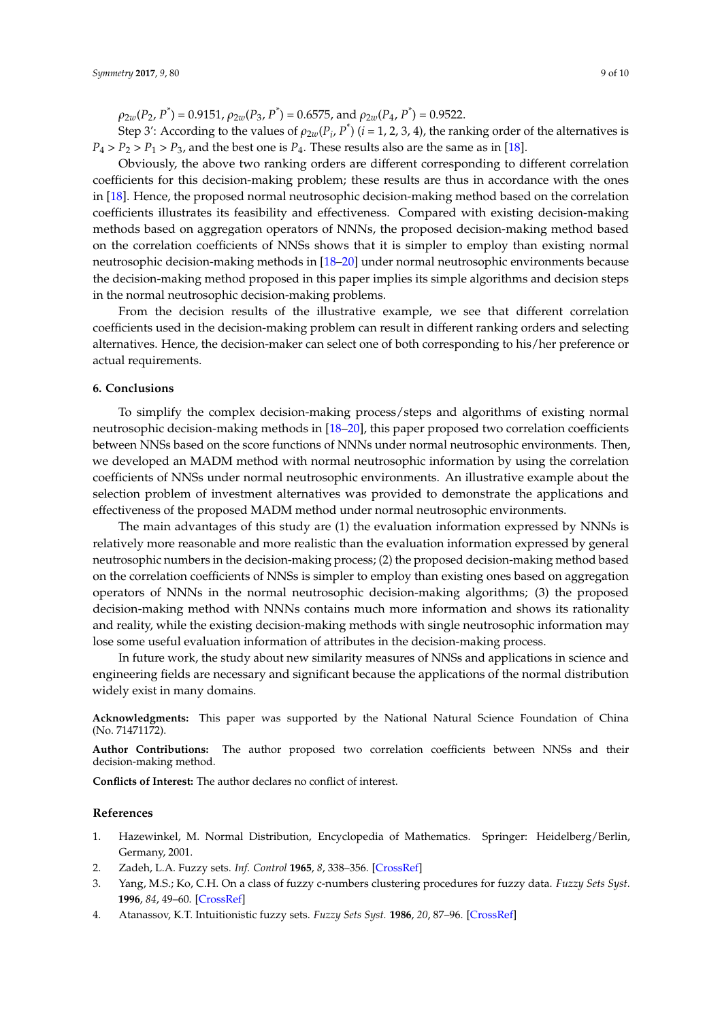$\rho_{2w}(P_2, P^*) = 0.9151$ ,  $\rho_{2w}(P_3, P^*) = 0.6575$ , and  $\rho_{2w}(P_4, P^*) = 0.9522$ .

Step 3': According to the values of  $\rho_{2w}(P_i, P^*)$  ( $i = 1, 2, 3, 4$ ), the ranking order of the alternatives is  $P_4 > P_2 > P_1 > P_3$ , and the best one is  $P_4$ . These results also are the same as in [\[18\]](#page-9-8).

Obviously, the above two ranking orders are different corresponding to different correlation coefficients for this decision-making problem; these results are thus in accordance with the ones in [\[18\]](#page-9-8). Hence, the proposed normal neutrosophic decision-making method based on the correlation coefficients illustrates its feasibility and effectiveness. Compared with existing decision-making methods based on aggregation operators of NNNs, the proposed decision-making method based on the correlation coefficients of NNSs shows that it is simpler to employ than existing normal neutrosophic decision-making methods in [\[18](#page-9-8)[–20\]](#page-9-10) under normal neutrosophic environments because the decision-making method proposed in this paper implies its simple algorithms and decision steps in the normal neutrosophic decision-making problems.

From the decision results of the illustrative example, we see that different correlation coefficients used in the decision-making problem can result in different ranking orders and selecting alternatives. Hence, the decision-maker can select one of both corresponding to his/her preference or actual requirements.

#### <span id="page-8-4"></span>**6. Conclusions**

To simplify the complex decision-making process/steps and algorithms of existing normal neutrosophic decision-making methods in [\[18–](#page-9-8)[20\]](#page-9-10), this paper proposed two correlation coefficients between NNSs based on the score functions of NNNs under normal neutrosophic environments. Then, we developed an MADM method with normal neutrosophic information by using the correlation coefficients of NNSs under normal neutrosophic environments. An illustrative example about the selection problem of investment alternatives was provided to demonstrate the applications and effectiveness of the proposed MADM method under normal neutrosophic environments.

The main advantages of this study are (1) the evaluation information expressed by NNNs is relatively more reasonable and more realistic than the evaluation information expressed by general neutrosophic numbers in the decision-making process; (2) the proposed decision-making method based on the correlation coefficients of NNSs is simpler to employ than existing ones based on aggregation operators of NNNs in the normal neutrosophic decision-making algorithms; (3) the proposed decision-making method with NNNs contains much more information and shows its rationality and reality, while the existing decision-making methods with single neutrosophic information may lose some useful evaluation information of attributes in the decision-making process.

In future work, the study about new similarity measures of NNSs and applications in science and engineering fields are necessary and significant because the applications of the normal distribution widely exist in many domains.

**Acknowledgments:** This paper was supported by the National Natural Science Foundation of China (No. 71471172).

**Author Contributions:** The author proposed two correlation coefficients between NNSs and their decision-making method.

**Conflicts of Interest:** The author declares no conflict of interest.

#### **References**

- <span id="page-8-0"></span>1. Hazewinkel, M. Normal Distribution, Encyclopedia of Mathematics. Springer: Heidelberg/Berlin, Germany, 2001.
- <span id="page-8-1"></span>2. Zadeh, L.A. Fuzzy sets. *Inf. Control* **1965**, *8*, 338–356. [\[CrossRef\]](http://dx.doi.org/10.1016/S0019-9958(65)90241-X)
- <span id="page-8-2"></span>3. Yang, M.S.; Ko, C.H. On a class of fuzzy c-numbers clustering procedures for fuzzy data. *Fuzzy Sets Syst.* **1996**, *84*, 49–60. [\[CrossRef\]](http://dx.doi.org/10.1016/0165-0114(95)00308-8)
- <span id="page-8-3"></span>4. Atanassov, K.T. Intuitionistic fuzzy sets. *Fuzzy Sets Syst.* **1986**, *20*, 87–96. [\[CrossRef\]](http://dx.doi.org/10.1016/S0165-0114(86)80034-3)